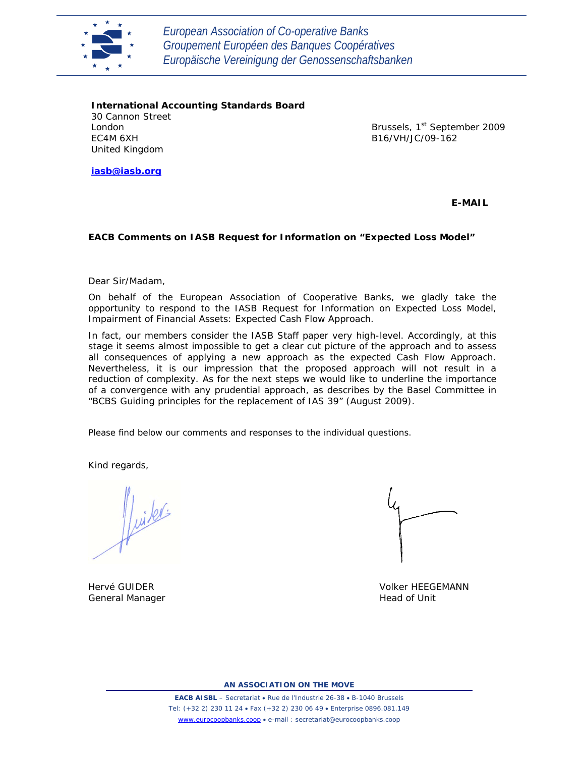

*European Association of Co-operative Banks Groupement Européen des Banques Coopératives Europäische Vereinigung der Genossenschaftsbanken*

**International Accounting Standards Board** 30 Cannon Street London EC4M 6XH United Kingdom

Brussels, 1<sup>st</sup> September 2009 B16/VH/JC/09-162

**iasb@iasb.org**

**E-MAIL**

# **EACB Comments on IASB Request for Information on "Expected Loss Model"**

Dear Sir/Madam,

On behalf of the European Association of Cooperative Banks, we gladly take the opportunity to respond to the IASB Request for Information on Expected Loss Model, Impairment of Financial Assets: Expected Cash Flow Approach.

In fact, our members consider the IASB Staff paper very high-level. Accordingly, at this stage it seems almost impossible to get a clear cut picture of the approach and to assess all consequences of applying a new approach as the expected Cash Flow Approach. Nevertheless, it is our impression that the proposed approach will not result in a reduction of complexity. As for the next steps we would like to underline the importance of a convergence with any prudential approach, as describes by the Basel Committee in "BCBS Guiding principles for the replacement of IAS 39" (August 2009).

Please find below our comments and responses to the individual questions.

Kind regards,

ffuiters

General Manager **Head of Unit** 

Hervé GUIDER Volker HEEGEMANN

**AN ASSOCIATION ON THE MOVE**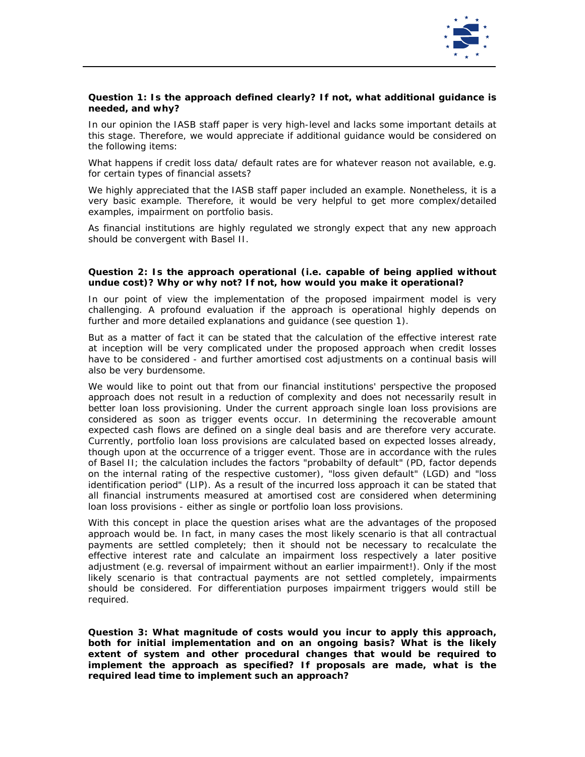

# *Question 1: Is the approach defined clearly? If not, what additional guidance is needed, and why?*

In our opinion the IASB staff paper is very high-level and lacks some important details at this stage. Therefore, we would appreciate if additional guidance would be considered on the following items:

What happens if credit loss data/ default rates are for whatever reason not available, e.g. for certain types of financial assets?

We highly appreciated that the IASB staff paper included an example. Nonetheless, it is a very basic example. Therefore, it would be very helpful to get more complex/detailed examples, impairment on portfolio basis.

As financial institutions are highly regulated we strongly expect that any new approach should be convergent with Basel II.

#### *Question 2: Is the approach operational (i.e. capable of being applied without undue cost)? Why or why not? If not, how would you make it operational?*

In our point of view the implementation of the proposed impairment model is very challenging. A profound evaluation if the approach is operational highly depends on further and more detailed explanations and guidance (see question 1).

But as a matter of fact it can be stated that the calculation of the effective interest rate at inception will be very complicated under the proposed approach when credit losses have to be considered - and further amortised cost adjustments on a continual basis will also be very burdensome.

We would like to point out that from our financial institutions' perspective the proposed approach does not result in a reduction of complexity and does not necessarily result in better loan loss provisioning. Under the current approach single loan loss provisions are considered as soon as trigger events occur. In determining the recoverable amount expected cash flows are defined on a single deal basis and are therefore very accurate. Currently, portfolio loan loss provisions are calculated based on expected losses already, though upon at the occurrence of a trigger event. Those are in accordance with the rules of Basel II; the calculation includes the factors "probabilty of default" (PD, factor depends on the internal rating of the respective customer), "loss given default" (LGD) and "loss identification period" (LIP). As a result of the incurred loss approach it can be stated that all financial instruments measured at amortised cost are considered when determining loan loss provisions - either as single or portfolio loan loss provisions.

With this concept in place the question arises what are the advantages of the proposed approach would be. In fact, in many cases the most likely scenario is that all contractual payments are settled completely; then it should not be necessary to recalculate the effective interest rate and calculate an impairment loss respectively a later positive adjustment (e.g. reversal of impairment without an earlier impairment!). Only if the most likely scenario is that contractual payments are not settled completely, impairments should be considered. For differentiation purposes impairment triggers would still be required.

*Question 3: What magnitude of costs would you incur to apply this approach, both for initial implementation and on an ongoing basis? What is the likely extent of system and other procedural changes that would be required to implement the approach as specified? If proposals are made, what is the required lead time to implement such an approach?*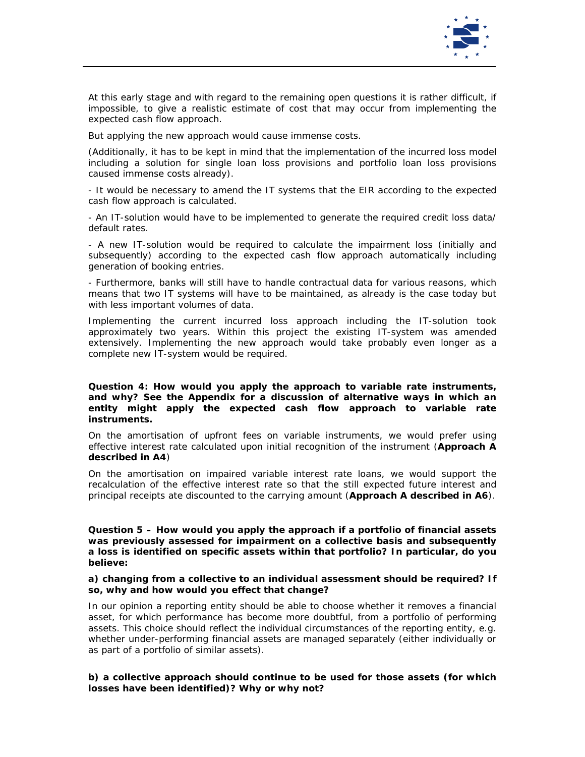

At this early stage and with regard to the remaining open questions it is rather difficult, if impossible, to give a realistic estimate of cost that may occur from implementing the expected cash flow approach.

But applying the new approach would cause immense costs.

(Additionally, it has to be kept in mind that the implementation of the incurred loss model including a solution for single loan loss provisions and portfolio loan loss provisions caused immense costs already).

- It would be necessary to amend the IT systems that the EIR according to the expected cash flow approach is calculated.

- An IT-solution would have to be implemented to generate the required credit loss data/ default rates.

- A new IT-solution would be required to calculate the impairment loss (initially and subsequently) according to the expected cash flow approach automatically including generation of booking entries.

- Furthermore, banks will still have to handle contractual data for various reasons, which means that two IT systems will have to be maintained, as already is the case today but with less important volumes of data.

Implementing the current incurred loss approach including the IT-solution took approximately two years. Within this project the existing IT-system was amended extensively. Implementing the new approach would take probably even longer as a complete new IT-system would be required.

#### *Question 4: How would you apply the approach to variable rate instruments, and why? See the Appendix for a discussion of alternative ways in which an entity might apply the expected cash flow approach to variable rate instruments.*

On the *amortisation of upfront fees* on variable instruments, we would prefer using effective interest rate calculated upon initial recognition of the instrument (**Approach A described in A4**)

On the *amortisation on impaired variable interest rate loans*, we would support the recalculation of the effective interest rate so that the still expected future interest and principal receipts ate discounted to the carrying amount (**Approach A described in A6**).

### *Question 5 – How would you apply the approach if a portfolio of financial assets was previously assessed for impairment on a collective basis and subsequently a loss is identified on specific assets within that portfolio? In particular, do you believe:*

# *a) changing from a collective to an individual assessment should be required? If so, why and how would you effect that change?*

In our opinion a reporting entity should be able to choose whether it removes a financial asset, for which performance has become more doubtful, from a portfolio of performing assets. This choice should reflect the individual circumstances of the reporting entity, e.g. whether under-performing financial assets are managed separately (either individually or as part of a portfolio of similar assets).

# *b) a collective approach should continue to be used for those assets (for which losses have been identified)? Why or why not?*